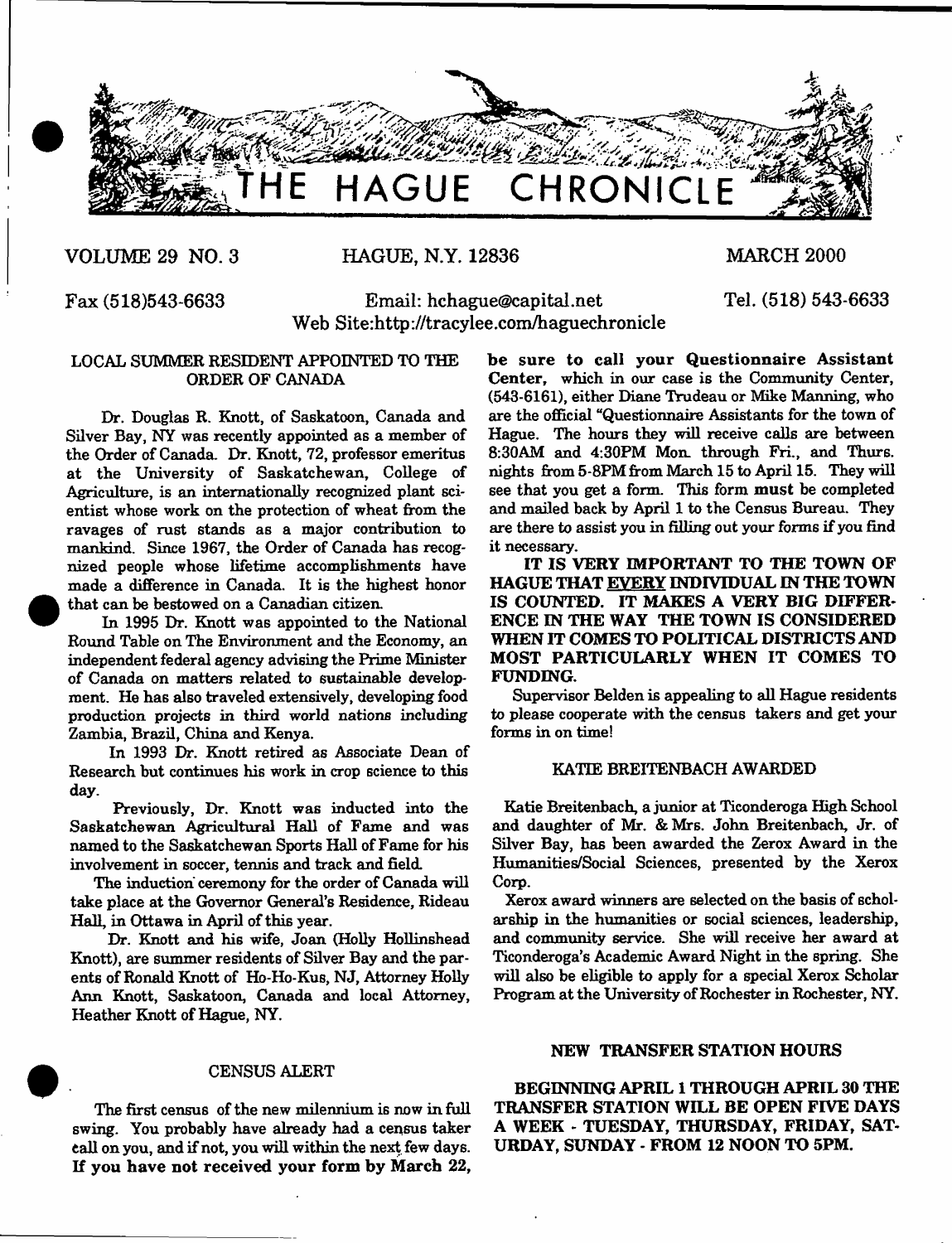

**VOLUME 29 NO. 3 HAGUE, N.Y. 12836 MARCH 2000**

**Tel. (518) 543-6633**

**Fax (518)543-6633 Email: [hchague@capital.net](mailto:hchague@capital.net) Web Site:<http://tracylee.com/haguechronicle>**

# LOCAL SUMMER RESIDENT APPOINTED TO THE ORDER OF CANADA

Dr. Douglas R. Knott, of Saskatoon, Canada and Silver Bay, NY was recently appointed as a member of the Order of Canada. Dr. Knott, 72, professor emeritus at the University of Saskatchewan, College of Agriculture, is an internationally recognized plant scientist whose work on the protection of wheat from the ravages of rust stands as a major contribution to mankind. Since 1967, the Order of Canada has recognized people whose lifetime accomplishments have made a difference in Canada. It is the highest honor that can be bestowed on a Canadian citizen.

In 1995 Dr. Knott was appointed to the National Round Table on The Environment and the Economy, an independent federal agency advising the Prime Minister of Canada on matters related to sustainable development. He has also traveled extensively, developing food production projects in third world nations including Zambia, Brazil, China and Kenya.

In 1993 Dr. Knott retired as Associate Dean of Research but continues his work in crop science to this day.

Previously, Dr. Knott was inducted into the Saskatchewan Agricultural Hall of Fame and was named to the Saskatchewan Sports Hall of Fame for his involvement in soccer, tennis and track and field.

The induction ceremony for the order of Canada will take place at the Governor General's Residence, Rideau Hall, in Ottawa in April of this year.

Dr. Knott and his wife, Joan (Holly Hollinshead Knott), are summer residents of Silver Bay and the parents of Ronald Knott of Ho-Ho-Kus, NJ, Attorney Holly Ann Knott, Saskatoon, Canada and local Attorney, Heather Knott of Hague, NY.

# CENSUS ALERT

The first census of the new milennium is now in full swing. You probably have already had a census taker tall on you, and if not, you will within the next few days. If you have not received your form by March 22,

be sure to call your Questionnaire Assistant Center, which in our case is the Community Center, (543-6161), either Diane Trudeau or Mike Manning, who are the official "Questionnaire Assistants for the town of Hague. The hours they will receive calls are between 8:30AM and 4:30PM Mon. through Fri., and Thurs. nights from 5-8PM from March 15 to April 15. They will see that you get a form. This form must be completed and mailed hack by April 1 to the Census Bureau. They are there to assist you in filling out your forms if you find it necessary.

IT IS VERY IMPORTANT TO THE TOWN OF HAGUE THAT EVERY INDIVIDUAL IN THE TOWN IS COUNTED. IT MAKES A VERY BIG DIFFER-ENCE IN THE WAY THE TOWN IS CONSIDERED WHEN IT COMES TO POLITICAL DISTRICTS AND MOST PARTICULARLY WHEN IT COMES TO FUNDING.

Supervisor Belden is appealing to all Hague residents to please cooperate with the census takers and get your forms in on time!

#### KATIE BREITENBACH AWARDED

Katie Breitenbach, a junior at Ticonderoga High School and daughter of Mr. & Mrs. John Breitenbach, Jr. of Silver Bay, has been awarded the Zerox Award in the Humanities/Social Sciences, presented by the Xerox Corp.

Xerox award winners are selected on the basis of scholarship in the humanities or social sciences, leadership, and community service. She will receive her award at Ticonderoga's Academic Award Night in the spring. She will also be eligible to apply for a special Xerox Scholar Program at the University of Rochester in Rochester, NY.

#### NEW TRANSFER STATION HOURS

BEGINNING APRIL 1 THROUGH APRIL 30 THE TRANSFER STATION WILL BE OPEN FIVE DAYS A WEEK - TUESDAY, THURSDAY, FRIDAY, SAT-URDAY, SUNDAY - FROM 12 NOON TO 5PM.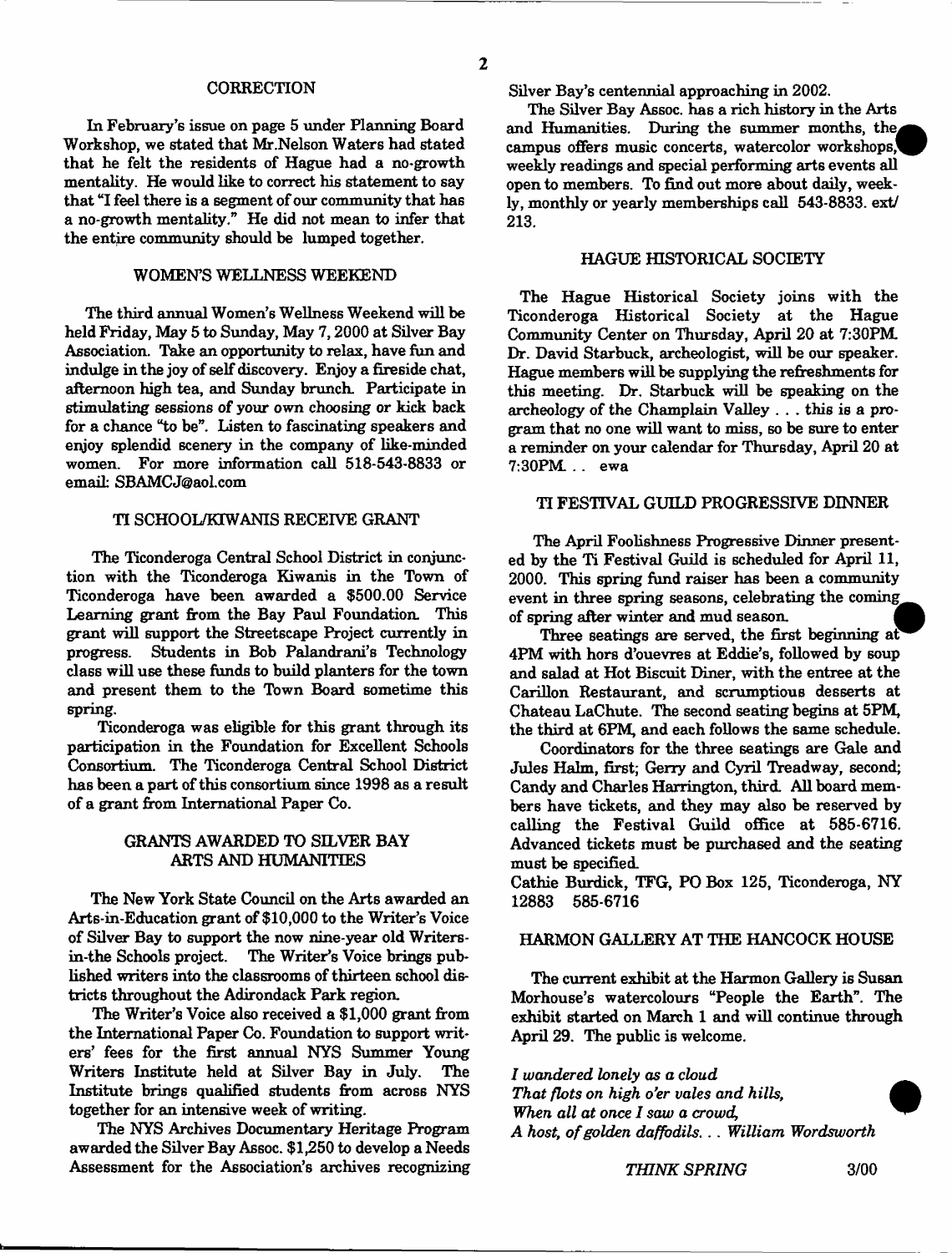#### **CORRECTION**

In February's issue on page 5 under Planning Board Workshop, we stated that Mr.Nelson Waters had stated that he felt the residents of Hague had a no-growth mentality. He would like to correct his statement to say that "I feel there is a segment of our community that has a no-growth mentality." He did not mean to infer that the entire community should be lumped together.

### WOMEN'S WELLNESS WEEKEND

The third annual Women's Wellness Weekend will be held Friday, May 5 to Sunday, May 7,2000 at Silver Bay Association. Take an opportunity to relax, have fun and indulge in the joy of self discovery. Enjoy a fireside chat, afternoon high tea, and Sunday brunch. Participate in stimulating sessions of your own choosing or kick back for a chance "to be". Listen to fascinating speakers and enjoy splendid scenery in the company of like-minded women. For more information call 518-543-8833 or email: [SBAMCJ@aol.com](mailto:SBAMCJ@aol.com)

# TI SCHOOL/KIWANIS RECEIVE GRANT

The Ticonderoga Central School District in conjunction with the Ticonderoga Kiwanis in the Town of Ticonderoga have been awarded a \$500.00 Service Learning grant from the Bay Paul Foundation. This grant will support the Streetscape Project currently in progress. Students in Bob Palandrani's Technology class will use these funds to build planters for the town and present them to the Town Board sometime this spring.

Ticonderoga was eligible for this grant through its participation in the Foundation for Excellent Schools Consortium. The Ticonderoga Central School District has been a part of this consortium since 1998 as a result of a grant from International Paper Co.

# GRANTS AWARDED TO SILVER BAY ARTS AND HUMANITIES

The New York State Council on the Arts awarded an Arts-in-Education grant of \$10,000 to the Writer's Voice of Silver Bay to support the now nine-year old Writersin-the Schools project. The Writer's Voice brings published writers into the classrooms of thirteen school districts throughout the Adirondack Park region.

The Writer's Voice also received a \$1,000 grant from the International Paper Co. Foundation to support writers' fees for the first annual NYS Summer Young Writers Institute held at Silver Bay in July. The Institute brings qualified students from across NYS together for an intensive week of writing.

The NYS Archives Documentary Heritage Program awarded the Silver Bay Assoc. \$1,250 to develop a Needs Assessment for the Association's archives recognizing Silver Bay's centennial approaching in 2002.

The Silver Bay Assoc, has a rich history in the Arts and Humanities. During the summer months, the campus offers music concerts, watercolor workshops," weekly readings and special performing arts events all open to members. To find out more about daily, weekly, monthly or yearly memberships call 543-8833. ext/ 213.

### HAGUE HISTORICAL SOCIETY

The Hague Historical Society joins with the Ticonderoga Historical Society at the Hague Community Center on Thursday, April 20 at 7:30PM. Dr. David Starbuck, archeologist, will be our speaker. Hague members will be supplying the refreshments for this meeting. Dr. Starbuck will be speaking on the archeology of the Champlain Valley . . . this is a program that no one will want to miss, so be sure to enter a reminder on your calendar for Thursday, April 20 at 7:30PM . . ewa

# TI FESTIVAL GUILD PROGRESSIVE DINNER

The April Foolishness Progressive Dinner presented by the Ti Festival Guild is scheduled for April II, 2000. This spring fund raiser has been a community event in three spring seasons, celebrating the coming of spring after winter and mud season. *M*

Three seatings are served, the first beginning at 4PM with hors d'ouevres at Eddie's, followed by soup and salad at Hot Biscuit Diner, with the entree at the Carillon Restaurant, and scrumptious desserts at Chateau LaChute. The second seating begins at 5PM, the third at 6PM, and each follows the same schedule.

Coordinators for the three seatings are Gale and Jules Halm, first; Gerry and Cyril Treadway, second; Candy and Charles Harrington, third. All board members have tickets, and they may also be reserved by calling the Festival Guild office at 585-6716. Advanced tickets must be purchased and the seating must be specified.

Cathie Burdick, TFG, PO Box 125, Ticonderoga, NY 12883 585-6716

## HARMON GALLERY AT THE HANCOCK HOUSE

The current exhibit at the Harmon Gallery is Susan Morhouse's watercolours "People the Earth". The exhibit started on March 1 and will continue through April 29. The public is welcome.

*I wandered lonely as a cloud That flots on high* o'er *vales and hills, When all at once I saw a crowd, A host, o f golden daffodils*. . . *William Wordsworth*

*THINK SPRING* 3/00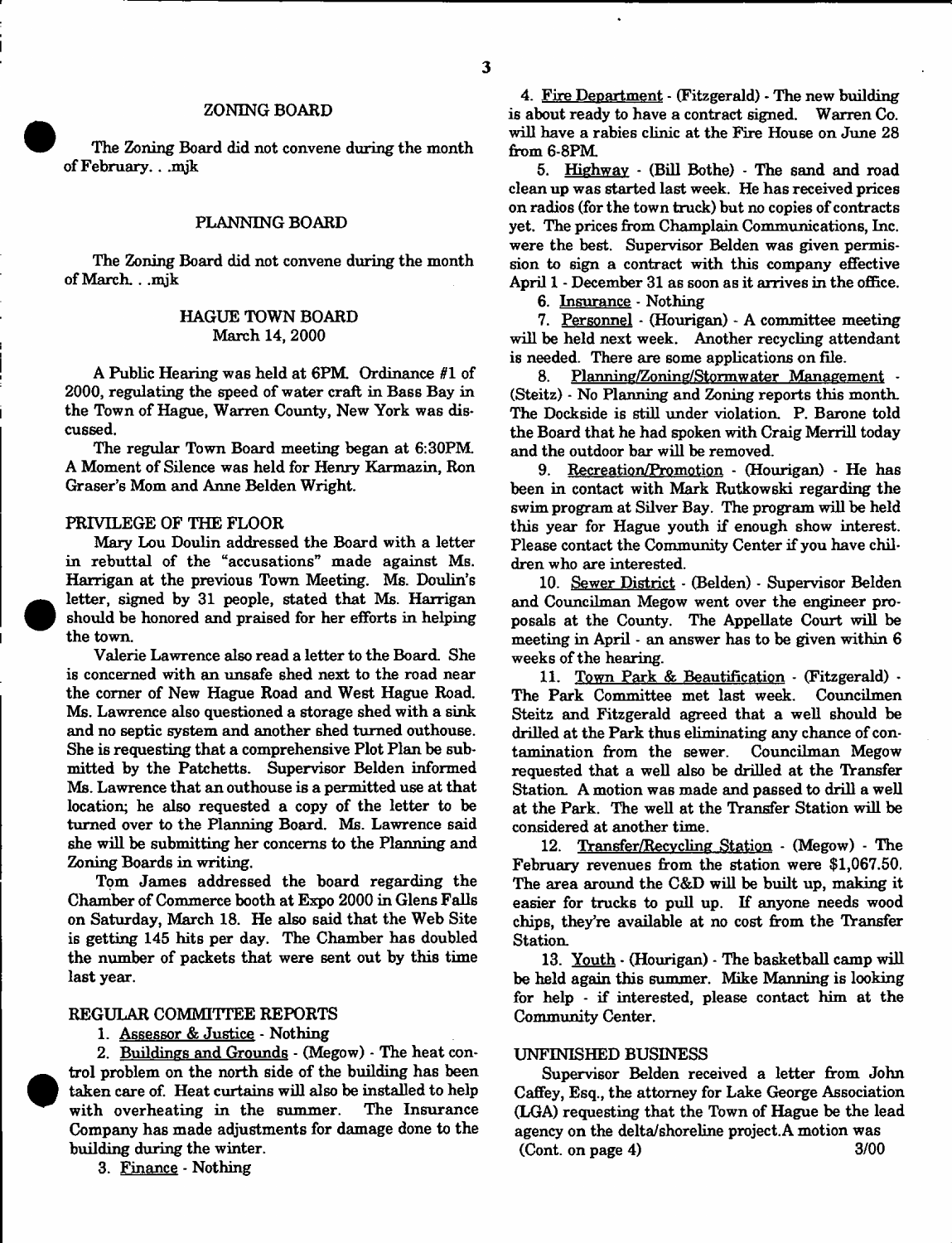#### ZONING BOARD

The Zoning Board did not convene during the month of February.. .mjk

## PLANNING BOARD

The Zoning Board did not convene during the month of March. . .mjk

# HAGUE TOWN BOARD March 14, 2000

A Public Hearing was held at 6PM. Ordinance *81* of 2000, regulating the speed of water craft in Bass Bay in the Town of Hague, Warren County, New York was dis\* cussed.

The regular Town Board meeting began at 6:30PM A Moment of Silence was held for Henry Karmazin, Ron Graser's Mom and Anne Belden Wright.

#### PRIVILEGE OF THE FLOOR

Mary Lou Doulin addressed the Board with a letter in rebuttal of the "accusations" made against Ms. Harrigan at the previous Town Meeting. Ms. Doulin's letter, signed by 31 people, stated that Ms. Harrigan should be honored and praised for her efforts in helping the town.

Valerie Lawrence also read a letter to the Board. She is concerned with an unsafe shed next to the road near the corner of New Hague Road and West Hague Road. Ms. Lawrence also questioned a storage shed with a sink and no septic system and another shed turned outhouse. She is requesting that a comprehensive Plot Plan be submitted by the Patchetts. Supervisor Belden informed Ms. Lawrence that an outhouse is a permitted use at that location; he also requested a copy of the letter to be turned over to the Planning Board. Ms. Lawrence said she will be submitting her concerns to the Planning and Zoning Boards in writing.

Tom James addressed the board regarding the Chamber of Commerce booth at Expo 2000 in Glens Falls on Saturday, March 18. He also said that the Web Site is getting 145 hits per day. The Chamber has doubled the number of packets that were sent out by this time last year.

# REGULAR COMMITTEE REPORTS

1. Assessor & Justice - Nothing

2. Buildings and Grounds - (Megow) - The heat control problem on the north side of the building has been taken care of. Heat curtains will also be installed to help with overheating in the summer. The Insurance Company has made adjustments for damage done to the building during the winter.

3. Finance - Nothing

4. Fire Department - (Fitzgerald) - The new building is about ready to have a contract signed. Warren Co. will have a rabies clinic at the Fire House on June 28 from 6-8PM

5. Highway - (Bill Bothe) - The sand and road clean up was started last week. He has received prices on radios (for the town truck) but no copies of contracts yet. The prices from Champlain Communications, Inc. were the best. Supervisor Belden was given permission to sign a contract with this company effective April 1 - December 31 as soon as it arrives in the office.

6. Insurance - Nothing

7. Personnel - (Hourigan) - A committee meeting will be held next week. Another recycling attendant is needed. There are some applications on file.

8. Planning/Zoning/Stormwater Management -(Steitz) - No Planning and Zoning reports this month. The Dockside is still under violation. P. Barone told the Board that he had spoken with Craig Merrill today and the outdoor bar will be removed.

9. Recreation/Promotion - (Hourigan) - He has been in contact with Mark Rutkowski regarding the swim program at Silver Bay. The program will be held this year for Hague youth if enough show interest. Please contact the Community Center if you have children who are interested.

10. Sewer District - (Belden) - Supervisor Belden and Councilman Megow went over the engineer proposals at the County. The Appellate Court will be meeting in April - an answer has to be given within 6 weeks of the hearing.

11. Town Park & Beautification - (Fitzgerald) - The Park Committee met last week. Councilmen Steitz and Fitzgerald agreed that a well should be drilled at the Park thus eliminating any chance of contamination from the sewer. Councilman Megow requested that a well also be drilled at the Transfer Station. A motion was made and passed to drill a well at the Park. The well at the Transfer Station will be considered at another time.

12. Transfer/Recvcling Station - (Megow) - The February revenues from the station were \$1,067.50. The area around the C&D will be built up, making it easier for trucks to pull up. If anyone needs wood chips, they're available at no cost from the Transfer Station.

13. Youth - (Hourigan) - The basketball camp will be held again this summer. Mike Manning is looking for help - if interested, please contact him at the Community Center.

#### UNFINISHED BUSINESS

Supervisor Belden received a letter from John Caffey, Esq., the attorney for Lake George Association (LGA) requesting that the Town of Hague be the lead agency on the delta/shoreline project. A motion was (Cont. on page 4) 3/00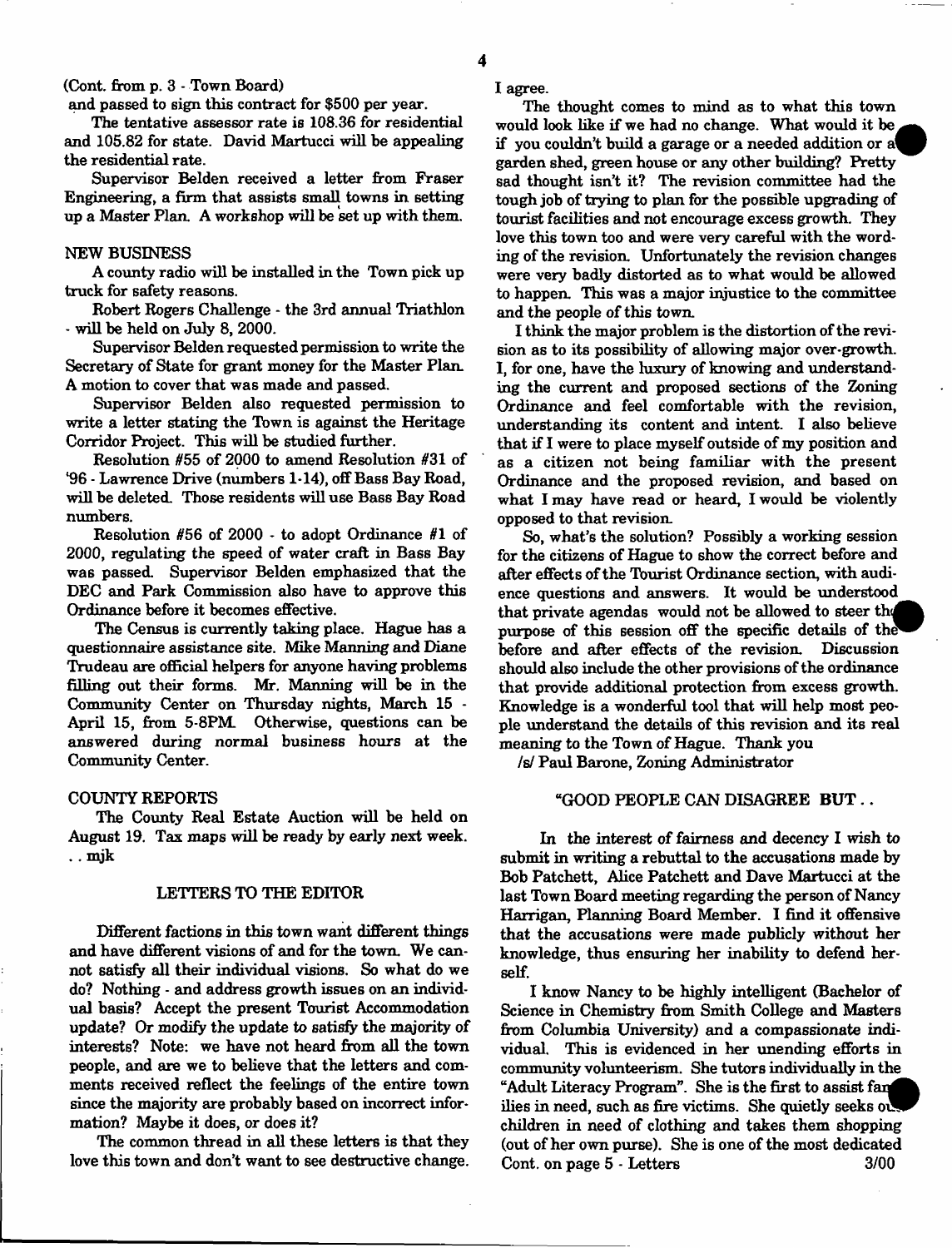(Cont. from **p.** 3 - Town Board)

and passed to sign this contract for \$500 per year.

The tentative assessor rate is 108.36 for residential and 105.82 for state. David Martueci will he appealing the residential rate.

Supervisor Belden received a letter from Fraser Engineering, a firm that assists small towns in setting up a Master Plan. A workshop will be set up with them.

#### NEW BUSINESS

A county radio will be installed in the Town pick up truck for safety reasons.

Robert Rogers Challenge - the 3rd annual Triathlon - will be held on July 8, 2000.

Supervisor Belden requested permission to write the Secretary of State for grant money for the Master Plan. A motion to cover that was made and passed.

Supervisor Belden also requested permission to write a letter stating the Town is against the Heritage Corridor Project. This will be studied further.

Resolution #55 of 2000 to amend Resolution #31 of '96 - Lawrence Drive (numbers 1-14), off Bass Bay Road, will be deleted. Those residents will use Bass Bay Road numbers.

Resolution #56 of 2000 - to adopt Ordinance #1 of 2000, regulating the speed of water craft in Bass Bay was passed. Supervisor Belden emphasized that the DEC and Park Commission also have to approve this Ordinance before it becomes effective.

The Census is currently taking place. Hague has a questionnaire assistance site. Mike Manning and Diane Trudeau are official helpers for anyone having problems filling out their forms. Mr. Manning will be in the Community Center on Thursday nights, March 15 - April 15, from 5-8PM. Otherwise, questions can be answered during normal business hours at the Community Center.

#### COUNTY REPORTS

The County Real Estate Auction will be held on August 19. Tax maps will be ready by early next week. .. mjk

# LETTERS TO THE EDITOR

Different factions in this town want different things and have different visions of and for the town. We cannot satisfy all their individual visions. So what do we do? Nothing - and address growth issues on an individual basis? Accept the present Tourist Accommodation update? Or modify the update to satisfy the majority of interests? Note: we have not heard from all the town people, and are we to believe that the letters and comments received reflect the feelings of the entire town since the majority are probably based on incorrect information? Maybe it does, or does it?

The common thread in all these letters is that they love this town and don't want to see destructive change. I agree .

The thought comes to mind as to what this town would look like if we had no change. What would it be if you couldn't build a garage or a needed addition or a' garden shed, green house or any other building? Pretty sad thought isn't it? The revision committee had the tough job of trying to plan for the possible upgrading of tourist facilities and not encourage excess growth. They love this town too and were very careful with the wording of the revision. Unfortunately the revision changes were very badly distorted as to what would be allowed to happen. This was a major injustice to the committee and the people of this town.

I think the major problem is the distortion of the revision as to its possibility of allowing major over-growth. I, for one, have the luxury of knowing and understanding the current and proposed sections of the Zoning Ordinance and feel comfortable with the revision, understanding its content and intent. I also believe that if I were to place myself outside of my position and as a citizen not being familiar with the present Ordinance and the proposed revision, and based on what I may have read or heard, I would be violently opposed to that revision.

So, what's the solution? Possibly a working session for the citizens of Hague to show the correct before and after effects of the Tourist Ordinance section, with audience questions and answers. It would be understood that private agendas would not be allowed to steer the purpose of this session off the specific details of the before and after effects of the revision. Discussion should also include the other provisions of the ordinance that provide additional protection from excess growth. Knowledge is a wonderful tool that will help most people understand the details of this revision and its real meaning to the Town of Hague. Thank you

*Is/* Paul Barone, Zoning Administrator

## "GOOD PEOPLE CAN DISAGREE BUT...

In the interest of fairness and decency I wish to submit in writing a rebuttal to the accusations made by Bob Patchett, Alice Patchett and Dave Martucci at the last Town Board meeting regarding the person of Nancy Harrigan, Planning Board Member. I find it offensive that the accusations were made publicly without her knowledge, thus ensuring her inability to defend herself.

I know Nancy to be highly intelligent (Bachelor of Science in Chemistry from Smith College and Masters from Columbia University) and a compassionate individual. This is evidenced in her unending efforts in community volunteerism. She tutors individually in the "Adult Literacy Program". She is the first to assist fan ilies in need, such as fire victims. She quietly seeks of children in need of clothing and takes them shopping (out of her own purse). She is one of the most dedicated Cont. on page 5 - Letters 3/00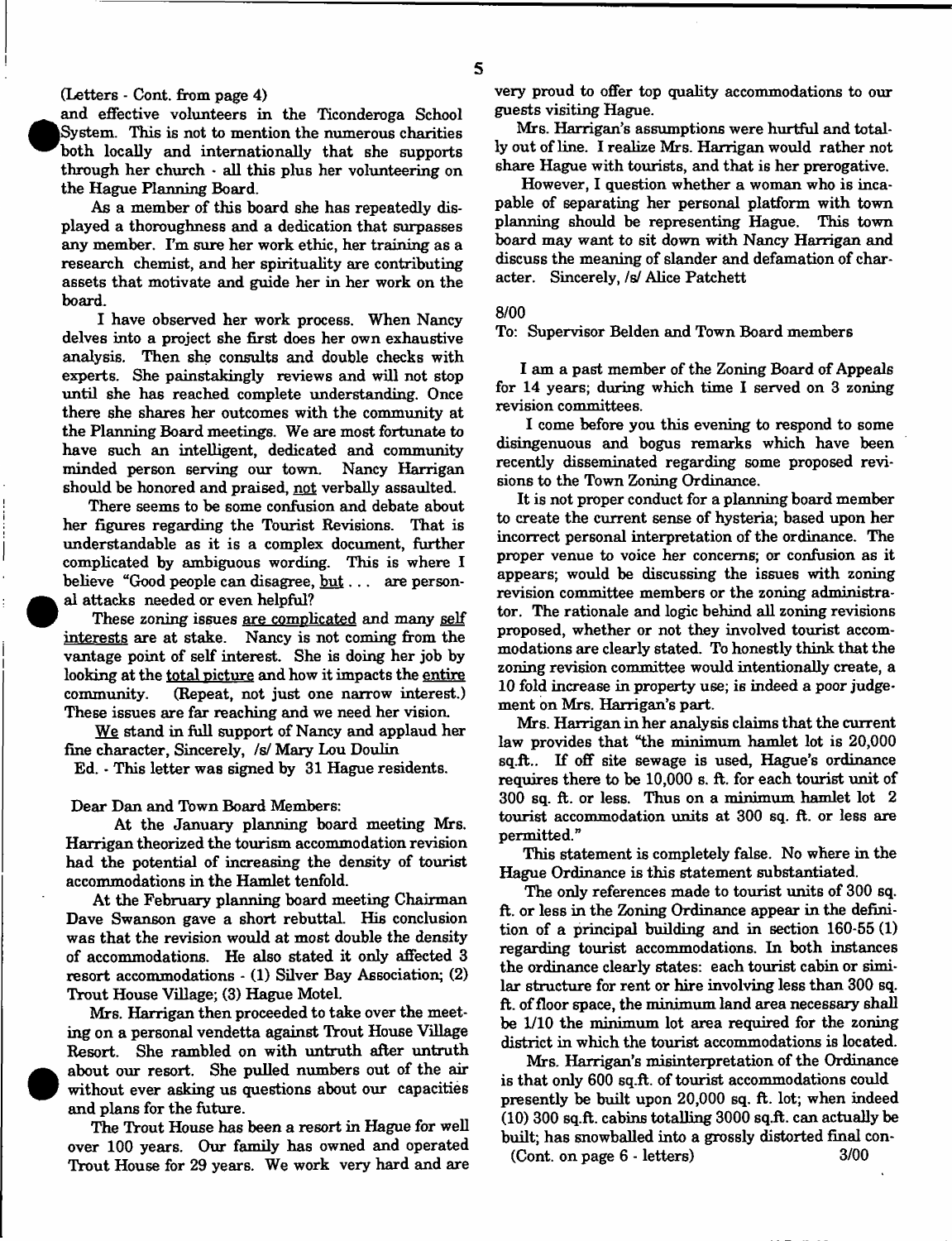# (Letters - Cont. from page 4)

 $\bullet$ 

 $\bullet$ 

and effective volunteers in the Ticonderoga School System. This is not to mention the numerous charities both locally and internationally that she supports through her church  $\cdot$  all this plus her volunteering on the Hague Planning Board.

As a member of this board she has repeatedly displayed a thoroughness and a dedication that surpasses any member. I'm sure her work ethic, her training as a research chemist, and her spirituality are contributing assets that motivate and guide her in her work on the board.

I have observed her work process. When Nancy delves into a project she first does her own exhaustive analysis. Then she consults and double checks with experts. She painstakingly reviews and will not stop until she has reached complete understanding. Once there she shares her outcomes with the community at the Planning Board meetings. We are most fortunate to have such an intelligent, dedicated and community minded person serving our town. Nancy Harrigan should be honored and praised, not verbally assaulted.

There seems to be some confusion and debate about her figures regarding the Tourist Revisions. That is understandable as it is a complex document, further complicated by ambiguous wording. This is where I believe "Good people can disagree,  $but \dots$  are personal attacks needed or even helpful?

These zoning issues are complicated and many self interests are at stake. Nancy is not coming from the vantage point of self interest. She is doing her job by looking at the total picture and how it impacts the entire community. (Repeat, not just one narrow interest.) These issues are far reaching and we need her vision.

We stand in full support of Nancy and applaud her fine character, Sincerely, /s/ Mary Lou Doulin

Ed. - This letter was signed by 31 Hague residents.

Dear Dan and Town Board Members:

At the January planning board meeting Mrs. Harrigan theorized the tourism accommodation revision had the potential of increasing the density of tourist accommodations in the Hamlet tenfold.

At the February planning board meeting Chairman Dave Swanson gave a short rebuttal. His conclusion was that the revision would at most double the density of accommodations. He also stated it only affected 3 resort accommodations - (1) Silver Bay Association; (2) Trout House Village; (3) Hague Motel.

Mrs. Harrigan then proceeded to take over the meeting on a personal vendetta against Trout House Village Resort. She rambled on with untruth after untruth about our resort. She pulled numbers out of the air without ever asking us questions about our capacities and plans for the future.

The Trout House has been a resort in Hague for well over 100 years. Our family has owned and operated Trout House for 29 years. We work very hard and are very proud to offer top quality accommodations to our guests visiting Hague.

Mrs. Harrigan's assumptions were hurtful and totally out of line. I realize Mrs. Harrigan would rather not share Hague with tourists, and that is her prerogative.

However, I question whether a woman who is incapable of separating her personal platform with town planning should be representing Hague. This town board may want to sit down with Nancy Harrigan and discuss the meaning of slander and defamation of character. Sincerely, */si* Alice Patchett

#### **8/00**

To: Supervisor Belden and Town Board members

I am a past member of the Zoning Board of Appeals for 14 years; during which time I served on 3 zoning revision committees.

I come before you this evening to respond to some disingenuous and bogus remarks which have been recently disseminated regarding some proposed revisions to the Town Zoning Ordinance.

It is not proper conduct for a planning board member to create the current sense of hysteria; based upon her incorrect personal interpretation of the ordinance. The proper venue to voice her concerns; or confusion as it appears; would be discussing the issues with zoning revision committee members or the zoning administrator. The rationale and logic behind all zoning revisions proposed, whether or not they involved tourist accommodations are clearly stated. To honestly think that the zoning revision committee would intentionally create, a 10 fold increase in property use; is indeed a poor judgement on Mrs. Harrigan's part.

Mrs. Harrigan in her analysis claims that the current law provides that "the minimum hamlet lot is 20,000 sq.ft.. If off site sewage is used, Hague's ordinance requires there to be 10,000 s. ft. for each tourist unit of 300 sq. ft. or less. Thus on a minimum hamlet lot 2 tourist accommodation units at 300 sq. ft. or less are permitted."

This statement is completely false. No where in the Hague Ordinance is this statement substantiated.

The only references made to tourist units of 300 sq. ft. or less in the Zoning Ordinance appear in the definition of a principal building and in section 160-55 (1) regarding tourist accommodations. In both instances the ordinance clearly states: each tourist cabin or similar structure for rent or hire involving less than 300 sq. ft. of floor space, the minimum land area necessary shall be 1/10 the minimum lot area required for the zoning district in which the tourist accommodations is located.

Mrs. Harrigan's misinterpretation of the Ordinance is that only 600 sq.ft. of tourist accommodations could presently be built upon 20,000 sq. ft. lot; when indeed (10) 300 sq.ft. cabins totalling 3000 sq.ft. can actually be built; has snowballed into a grossly distorted final con- (Cont. on page 6 - letters) 3/00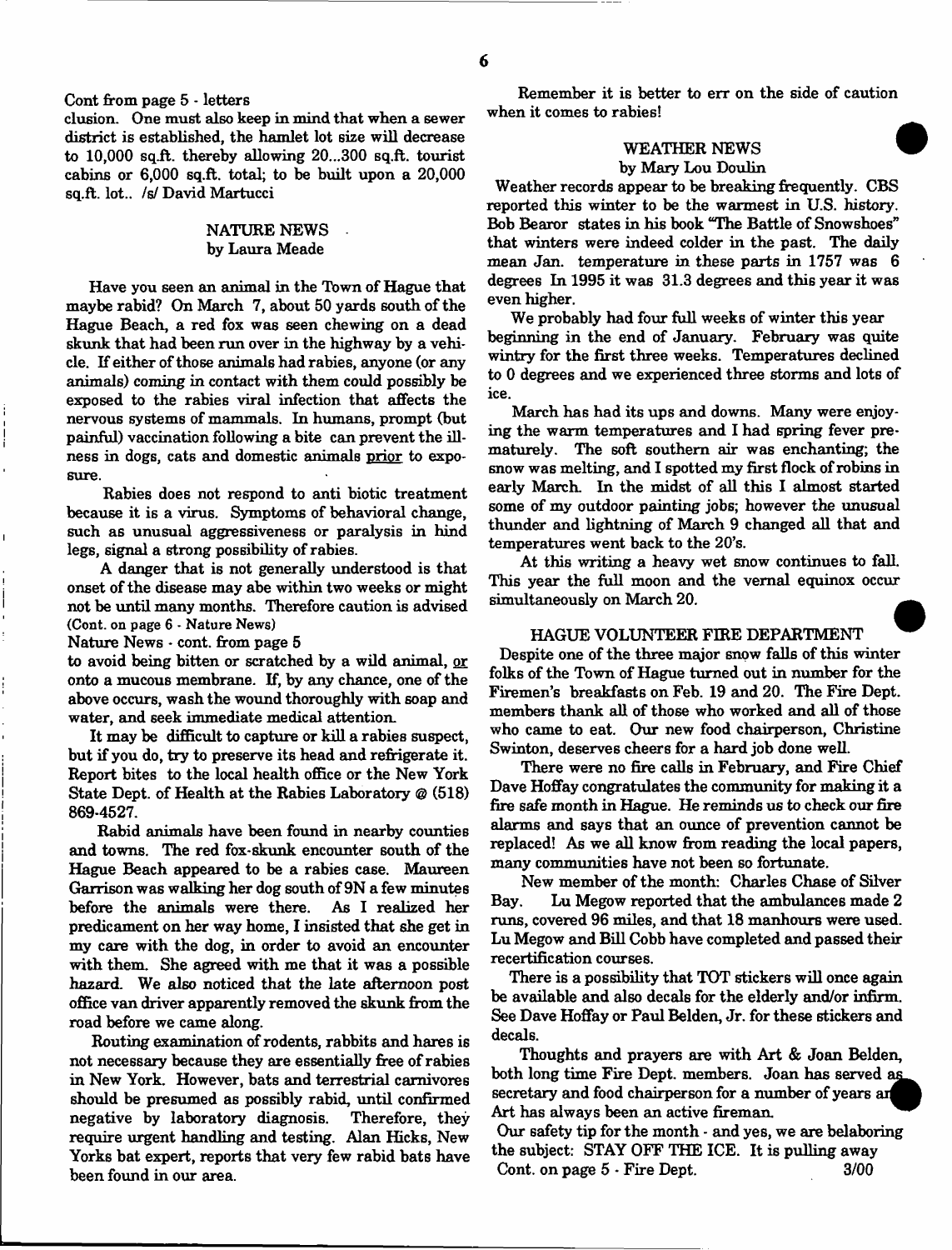Cont from page 5 - letters

elusion. One must also keep in mind that when a sewer district is established, the hamlet lot size will decrease to 10,000 sq.ft. thereby allowing 20...300 sq.ft. tourist cabins or 6,000 sq.ft. total; to be built upon a 20,000 sq.ft. lot., /s/David Martucci

# NATURE NEWS by Laura Meade

Have you seen an animal in the Town of Hague that maybe rabid? On March 7, about 50 yards south of the Hague Beach, a red fox was seen chewing on a dead skunk that had been run over in the highway by a vehicle. If either of those animals had rabies, anyone (or any animals) coming in contact with them could possibly be exposed to the rabies viral infection that affects the nervous systems of mammals. In humans, prompt (but painful) vaccination following a bite can prevent the illness in dogs, cats and domestic animals prior to exposure.

Rabies does not respond to anti biotic treatment because it is a virus. Symptoms of behavioral change, such as unusual aggressiveness or paralysis in hind legs, signal a strong possibility of rabies.

A danger that is not generally understood is that onset of the disease may abe within two weeks or might not be until many months. Therefore caution is advised (Cont. on page 6 - Nature News)

Nature News  $\cdot$  cont. from page 5

to avoid being bitten or scratched by a wild animal, or onto a mucous membrane. If, by any chance, one of the above occurs, wash the wound thoroughly with soap and water, and seek immediate medical attention.

It may be difficult to capture or kill a rabies suspect, but if you do, try to preserve its head and refrigerate it. Report bites to the local health office or the New York State Dept, of Health at the Rabies Laboratory @ (518) 869-4527.

Rabid animals have been found in nearby counties and towns. The red fox-skunk encounter south of the Hague Beach appeared to be a rabies case. Maureen Garrison was walking her dog south of 9N a few minutes before the animals were there. As I realized her predicament on her way home, I insisted that she get in my care with the dog, in order to avoid an encounter with them. She agreed with me that it was a possible hazard. We also noticed that the late afternoon post office van driver apparently removed the skunk from the road before we came along.

Routing examination of rodents, rabbits and hares is not necessary because they are essentially free of rabies in New York. However, bats and terrestrial carnivores should be presumed as possibly rabid, until confirmed negative by laboratory diagnosis. Therefore, they require urgent handling and testing. Alan Hicks, New Yorks bat expert, reports that very few rabid bats have been found in our area.

Remember it is better to err on the side of caution when it comes to rabies!

# WEATHER NEWS by Mary Lou Doulin

Weather records appear to be breaking frequently. CBS reported this winter to be the warmest in U.S. history. Bob Bearor states in his book "The Battle of Snowshoes" that winters were indeed colder in the past. The daily mean Jan. temperature in these parts in 1757 was 6 degrees In 1995 it was 31.3 degrees and this year it was even higher.

We probably had four full weeks of winter this year beginning in the end of January. February was quite wintry for the first three weeks. Temperatures declined to 0 degrees and we experienced three storms and lots of ice.

March has had its ups and downs. Many were enjoying the warm temperatures and I had spring fever prematurely. The soft southern air was enchanting; the snow was melting, and I spotted my first flock of robins in early March. In the midst of all this I almost started some of my outdoor painting jobs; however the unusual thunder and lightning of March 9 changed all that and temperatures went back to the 20's.

At this writing a heavy wet snow continues to fall. This year the full moon and the vernal equinox occur simultaneously on March 20.

## HAGUE VOLUNTEER FIRE DEPARTMENT

Despite one of the three major snow falls of this winter folks of the Town of Hague turned out in number for the Firemen's breakfasts on Feb. 19 and 20. The Fire Dept, members thank all of those who worked and all of those who came to eat. Our new food chairperson, Christine Swinton, deserves cheers for a hard job done well.

There were no fire calls in February, and Fire Chief Dave Hoffay congratulates the community for making it a fire safe month in Hague. He reminds us to check our fire alarms and says that an ounce of prevention cannot be replaced! As we all know from reading the local papers, many communities have not been so fortunate.

New member of the month: Charles Chase of Silver Bay. Lu Megow reported that the ambulances made 2 runs, covered 96 miles, and that 18 manhours were used. Lu Megow and Bill Cobb have completed and passed their recertification courses.

There is a possibility that TOT stickers will once again be available and also decals for the elderly and/or infirm. See Dave Hoffay or Paul Belden, Jr. for these stickers and decals.

Thoughts and prayers are with Art & Joan Belden, both long time Fire Dept, members. Joan has served secretary and food chairperson for a number of years an Art has always been an active fireman.

Our safety tip for the month - and yes, we are belaboring the subject: STAY OFF THE ICE. It is pulling away Cont. on page 5  $\cdot$  Fire Dept. 3/00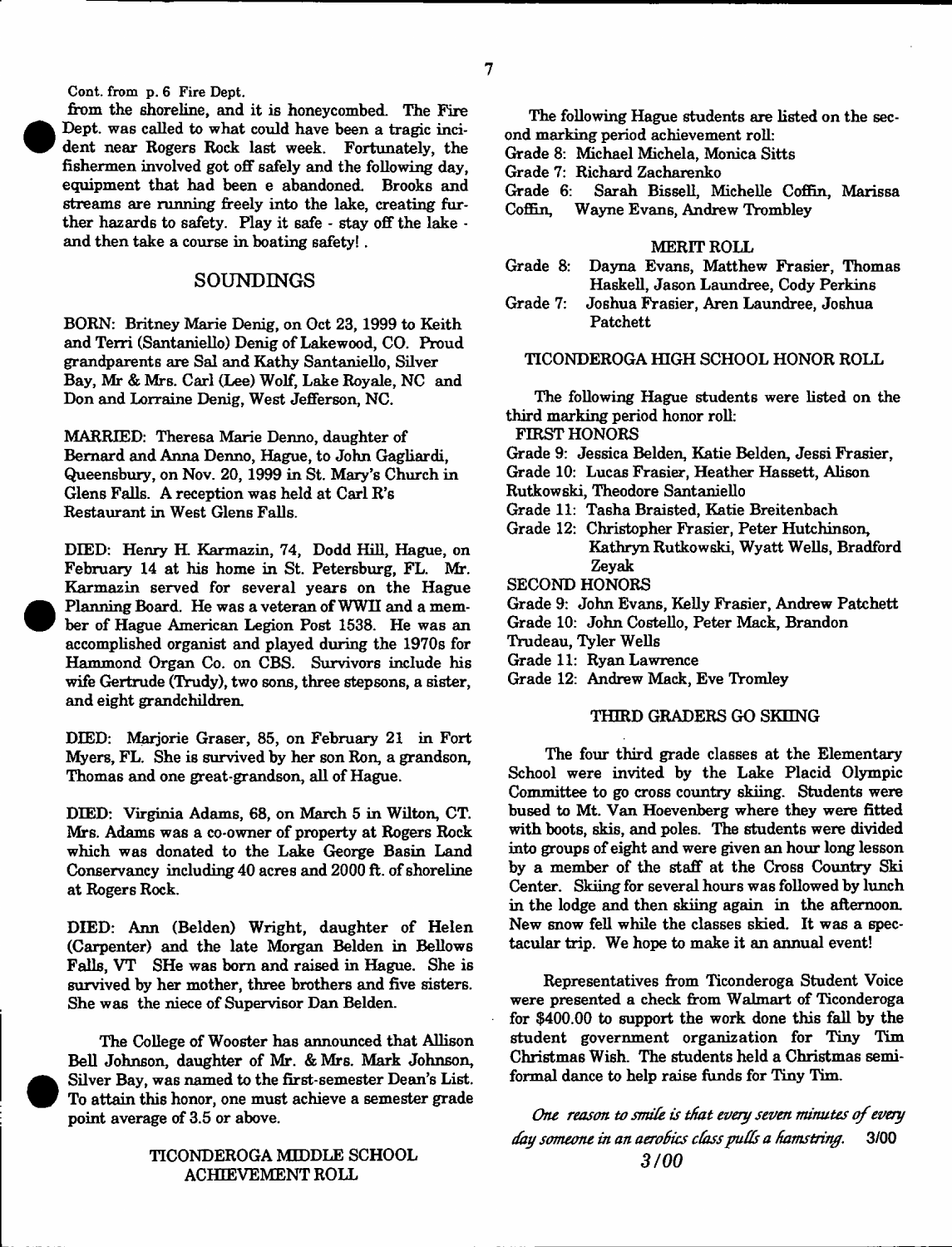Cont. from p. 6 Fire Dept.

from the shoreline, and it is honeycombed. The Fire Dept, was called to what could have been a tragic incident near Rogers Rock last week. Fortunately, the fishermen involved got off safely and the following day, equipment that had been e abandoned. Brooks and streams are running freely into the lake, creating further hazards to safety. Flay it safe - stay off the lake and then take a course in boating safety! .

# **SOUNDINGS**

BORN: Britney Marie Denig, on Oct 23, 1999 to Keith and Terri (Santaniello) Denig of Lakewood, CO. Proud grandparents are Sal and Kathy Santaniello, Silver Bay, Mr & Mrs. Carl (Lee) Wolf, Lake Royale, NC and Don and Lorraine Denig, West Jefferson, NC.

MARRIED: Theresa Marie Denno, daughter of Bernard and Anna Denno, Hague, to John Gagliardi, Queensbury, on Nov. 20, 1999 in St. Mary's Church in Glens Falls. A reception was held at Carl R's Restaurant in West Glens Falls.

DIED: Henry H. Karmazin, 74, Dodd Hill, Hague, on February 14 at his home in St. Petersburg, FL. Mr. Karmazin served for several years on the Hague Planning Board. He was a veteran of WWH and a member of Hague American Legion Post 1538. He was an accomplished organist and played during the 1970s for Hammond Organ Co. on CBS. Survivors include his wife Gertrude (Trudy), two sons, three stepsons, a sister, and eight grandchildren

DIED: Marjorie Graser, 85, on February 21 in Fort Myers, FL. She is survived by her son Ron, a grandson, Thomas and one great-grandson, all of Hague.

DIED: Virginia Adams, 68, on March 5 in Wilton, CT. Mrs. Adams was a co-owner of property at Rogers Rock which was donated to the Lake George Basin Land Conservancy including 40 acres and 2000 ft. of shoreline at Rogers Rock.

DIED: Ann (Belden) Wright, daughter of Helen (Carpenter) and the late Morgan Belden in Bellows Falls, VT SHe was born and raised in Hague. She is survived by her mother, three brothers and five sisters. She was the niece of Supervisor Dan Belden.

The College of Wooster has announced that Allison Bell Johnson, daughter of Mr. & Mrs. Mark Johnson, Silver Bay, was named to the first-semester Dean's List. To attain this honor, one must achieve a semester grade point average of 3.5 or above.

## TICONDEROGA MIDDLE SCHOOL ACHIEVEMENT ROLL

The following Hague students are listed on the second marking period achievement roll:

Grade 8: Michael Michela, Monica Sitts

- Grade 7: Richard Zacharenko
- Grade 6: Sarah Bissell, Michelle Coffin, Marissa
- Coffin, Wayne Evans, Andrew Trombley

### MERIT ROLL

- Grade 8: Dayna Evans, Matthew Frasier, Thomas Haskell, Jason Laundree, Cody Perkins
- Grade 7: Joshua Frasier, Aren Laundree, Joshua Patchett

TICONDEROGA HIGH SCHOOL HONOR ROLL

The following Hague students were listed on the third marking period honor roll:

FIRST HONORS

Grade 9: Jessica Belden, Katie Belden, Jessi Frasier,

Grade 10: Lucas Frasier, Heather Hassett, Alison

- Rutkowski, Theodore Santaniello
- Grade 11: Tasha Braisted, Katie Breitenbach
- Grade 12: Christopher Frasier, Peter Hutchinson, Kathryn Rutkowski, Wyatt Wells, Bradford Zeyak
- SECOND HONORS
- Grade 9: John Evans, Kelly Frasier, Andrew Patchett
- Grade 10: John Costello, Peter Mack, Brandon
- Trudeau, Tyler Wells
- Grade 11: Ryan Lawrence
- Grade 12: Andrew Mack, Eve Tromley

# THIRD GRADERS GO SKIING

The four third grade classes at the Elementary School were invited by the Lake Placid Olympic Committee to go cross country skiing. Students were bused to Mt. Van Hoevenberg where they were fitted with boots, skis, and poles. The students were divided into groups of eight and were given an hour long lesson by a member of the staff at the Cross Country Ski Center. Skiing for several hours was followed by lunch in the lodge and then skiing again in the afternoon New snow fell while the classes skied. It was a spectacular trip. We hope to make it an annual event!

Representatives from Ticonderoga Student Voice were presented a check from Walmart of Ticonderoga for \$400.00 to support the work done this fall by the student government organization for Tiny Tim Christmas Wish. The students held a Christmas semiformal dance to help raise funds for Tiny Tim.

*One reason to smite is that every seven m inutes o f every day someone in an aeroBics class putts a Hamstring*. 3/00 *3/00*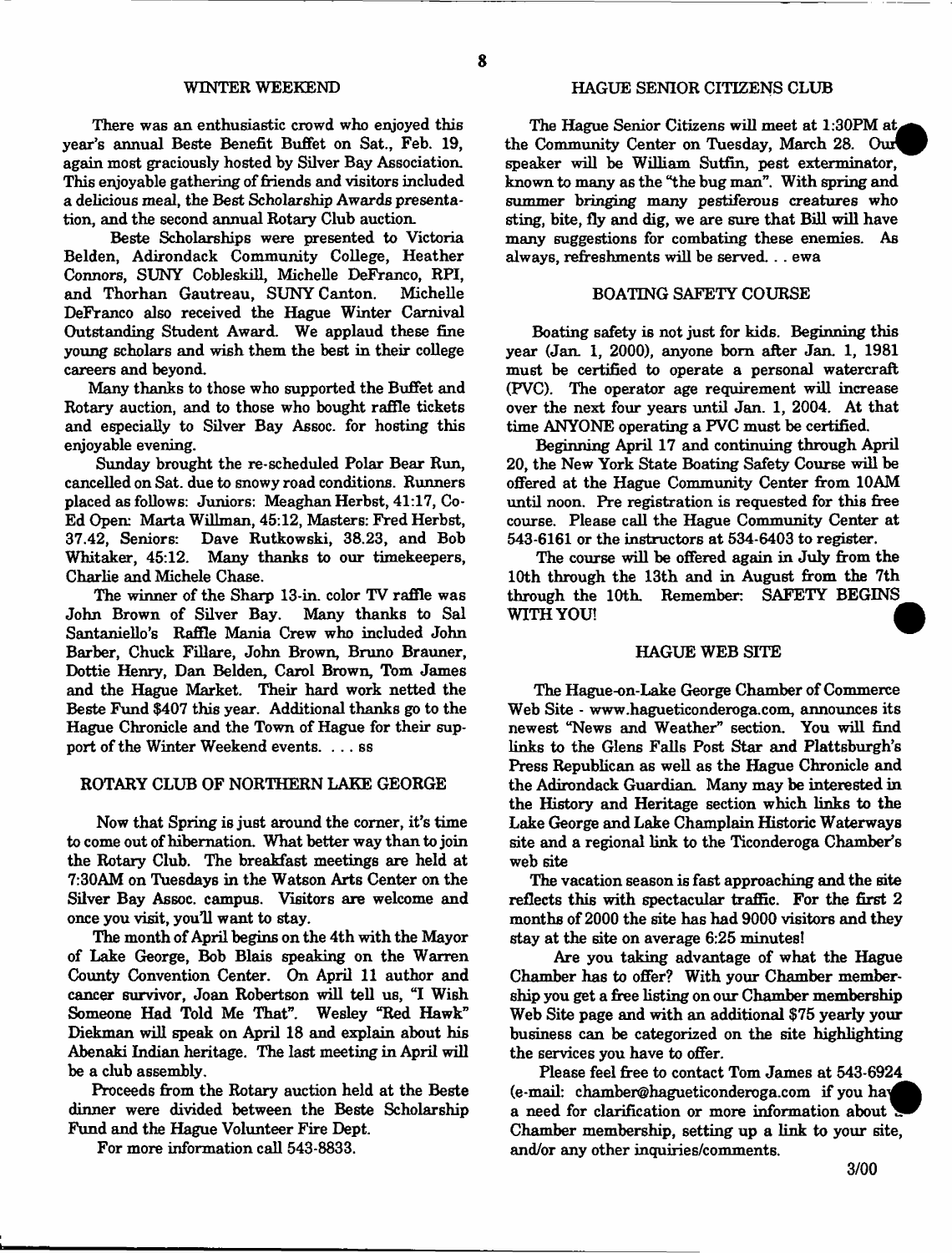There was an enthusiastic crowd who enjoyed this year's annual Beste Benefit Buffet on Sat., Feb. 19, again most graciously hosted by Silver Bay Association. This enjoyable gathering of firiends and visitors included a delicious meal, the Best Scholarship Awards presentation, and the second annual Rotary Club auction.

Beste Scholarships were presented to Victoria Belden, Adirondack Community College, Heather Connors, SUNY Cobleskill, Michelle DeFranco, RPI, and Thorhan Gautreau, SUNY Canton. DeFranco also received the Hague Winter Carnival Outstanding Student Award. We applaud these fine young scholars and wish them the best in their college careers and beyond.

Many thanks to those who supported the Buffet and Rotary auction, and to those who bought raffle tickets and especially to Silver Bay Assoc, for hosting this enjoyable evening.

Sunday brought the re-scheduled Polar Bear Run, cancelled on Sat. due to snowy road conditions. Runners placed as follows: Juniors: Meaghan Herbst, 41:17, Co-Ed Open: Marta Willman, 45:12, Masters: Fred Herbst, 37.42. Seniors: Dave Rutkowski. 38.23. and Bob Dave Rutkowski, 38.23, and Bob Whitaker, 45:12. Many thanks to our timekeepers, Charlie and Michele Chase.

The winner of the Sharp 13-in. color TV raffle was John Brown of Silver Bay. Many thanks to Sal Santaniello's Raffle Mania Crew who included John Barber, Chuck Fillare, John Brown, Bruno Brauner, Dottie Henry, Dan Belden, Carol Brown, Tom James and the Hague Market. Their hard work netted the Beste Fund \$407 this year. Additional thanks go to the Hague Chronicle and the Town of Hague for their support of the Winter Weekend events. . .. ss

## ROTARY CLUB OF NORTHERN LAKE GEORGE

Now that Spring is just around the corner, it's time to come out of hibernation. What better way than to join the Rotary Club. The breakfast meetings are held at 7:30AM on Tuesdays in the Watson Arts Center on the Silver Bay Assoc, campus. Visitors are welcome and once you visit, you'll want to stay.

The month of April begins on the 4th with the Mayor of Lake George, Bob Blais speaking on the Warren County Convention Center. On April 11 author and cancer survivor, Joan Robertson will tell us, "I Wish Someone Had Told Me That". Wesley "Red Hawk" Diekman will speak on April 18 and explain about his Abenaki Indian heritage. The last meeting in April will be a club assembly.

Proceeds from the Rotary auction held at the Beste dinner were divided between the Beste Scholarship Fund and the Hague Volunteer Fire Dept.

For more information call 543-8833.

#### HAGUE SENIOR CITIZENS CLUB

The Hague Senior Citizens will meet at  $1:30$ PM at the Community Center on Tuesday, March 28. Our speaker will be William Sutfin, pest exterminator, known to many as the "the bug man". With spring and summer bringing many pestiferous creatures who sting, bite, fly and dig, we are sure that Bill will have many suggestions for combating these enemies. As always, refreshments will be served. . . ewa

# BOATING SAFETY COURSE

Boating safety is not just for kids. Beginning this year (Jan. 1, 2000), anyone bom after Jan. 1, 1981 must be certified to operate a personal watercraft (PVC). The operator age requirement will increase over the next four years until Jan. 1, 2004. At that time ANYONE operating a FVC must be certified.

Beginning April 17 and continuing through April 20, the New York State Boating Safety Course will be offered at the Hague Community Center from 10AM until noon. Pre registration is requested for this free course. Please call the Hague Community Center at 543-6161 or the instructors at 534-6403 to register.

The course will be offered again in July from the 10th through the 13th and in August from the 7th through the 10th. Remember: SAFETY BEGINS WITH YOU!

#### HAGUE WEB SITE

The Hague-on-Lake George Chamber of Commerce Web Site - [www.hagueticonderoga.com,](http://www.hagueticonderoga.com) announces its newest "News and Weather" section. You will find links to the Glens Falls Post Star and Plattsburgh's Press Republican as well as the Hague Chronicle and the Adirondack Guardian. Many may be interested in the History and Heritage section which links to the Lake George and Lake Champlain Historic Waterways site and a regional link to the Ticonderoga Chamber's web site

The vacation season is fast approaching and the site reflects this with spectacular traffic. For the first 2 months of2000 the site has had 9000 visitors and they stay at the site on average 6:25 minutes!

Are you taking advantage of what the Hague Chamber has to offer? With your Chamber membership you get a free listing on our Chamber membership Web Site page and with an additional \$75 yearly your business can be categorized on the site highlighting the services you have to offer.

Please feel free to contact Tom James at 543-6924 (e-mail: [chamber@hagueticonderoga.com](mailto:chamber@hagueticonderoga.com) if you hay a need for clarification or more information about Chamber membership, setting up a link to your site, and/or any other inquiries/comments.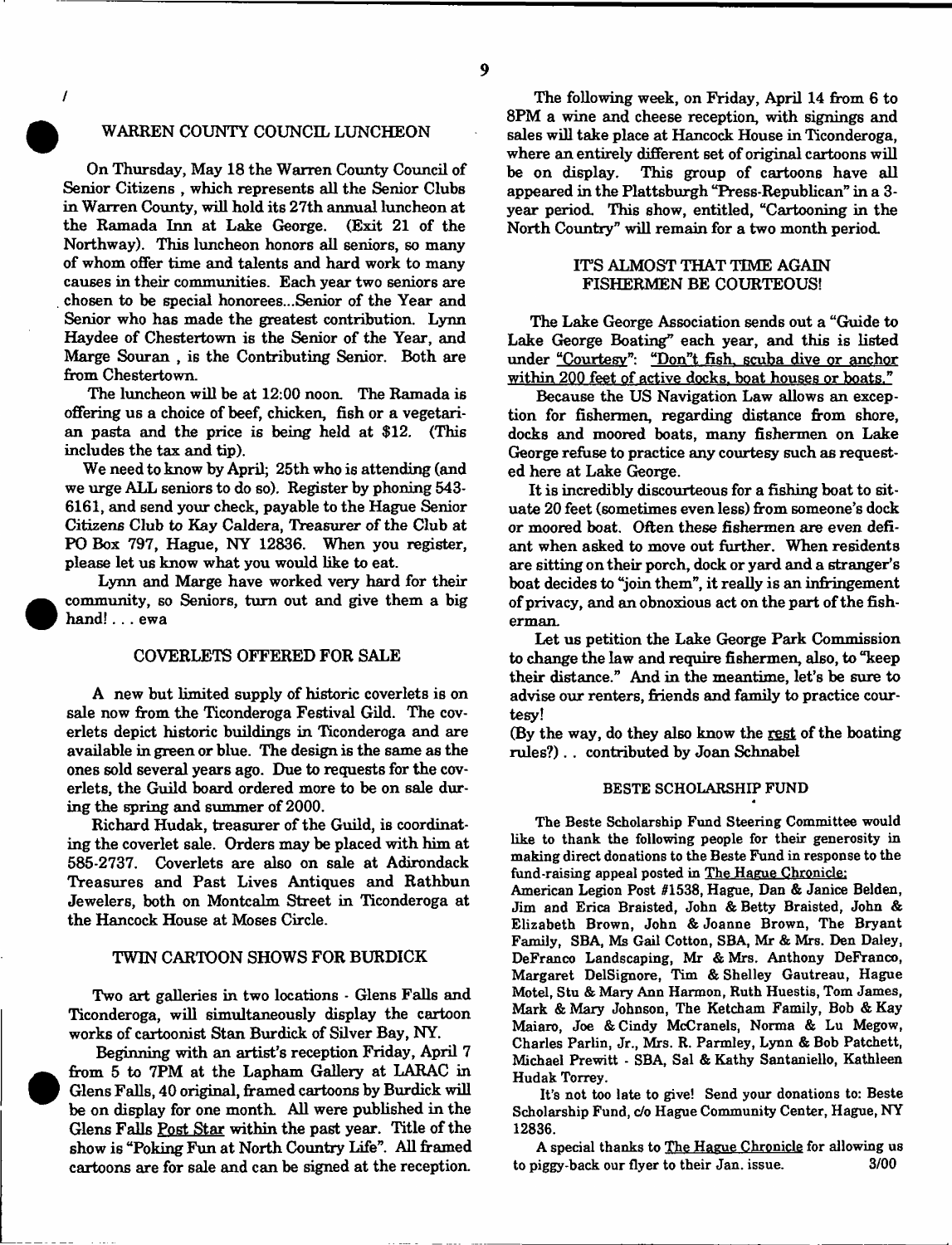/

#### WARREN COUNTY COUNCIL LUNCHEON

On Thursday, May 18 the Warren County Council of Senior Citizens , which represents all the Senior Clubs in Warren County, will hold its 27th annual luncheon at the Ramada Inn at Lake George. (Exit 21 of the Northway). This luncheon honors all seniors, so many of whom offer time and talents and hard work to many causes in their communities. Each year two seniors are chosen to be special honorees...Senior of the Year and Senior who has made the greatest contribution. Lynn Haydee of Chestertown is the Senior of the Year, and Marge Souran, is the Contributing Senior. Both are from Chestertown.

The luncheon will be at 12:00 noon. The Ramada is offering us a choice of beef, chicken, fish or a vegetarian pasta and the price is being held at \$12. (This includes the tax and tip).

We need to know by April; 25th who is attending (and we urge ALL seniors to do so). Register by phoning 543- 6161, and send your check, payable to the Hague Senior Citizens Club to Kay Caldera, Treasurer of the Club at PO Box 797, Hague, NY 12836. When you register, please let us know what you would like to eat.

Lynn and Marge have worked very hard for their community, so Seniors, turn out and give them a big hand!. . . ewa

#### COVERLETS OFFERED FOR SALE

A new but limited supply of historic coverlets is on sale now from the Ticonderoga Festival Gild. The coverlets depict historic buildings in Ticonderoga and are available in green or blue. The design is the same as the ones sold several years ago. Due to requests for the coverlets, the Guild board ordered more to be on sale during the spring and summer of 2000.

Richard Hudak, treasurer of the Guild, is coordinating the coverlet sale. Orders may be placed with him at 585-2737. Coverlets are also on sale at Adirondack Treasures and Past Lives Antiques and Rathbun Jewelers, both on Montcalm Street in Ticonderoga at the Hancock House at Moses Circle.

#### TWIN CARTOON SHOWS FOR BURDICK

Two art galleries in two locations - Glens Falls and Ticonderoga, will simultaneously display the cartoon works of cartoonist Stan Burdick of Silver Bay, NY.

Beginning with an artist's reception Friday, April 7 from 5 to 7PM at the Lapham Gallery at LARAC in Glens Falls, 40 original, framed cartoons by Burdick will be on display for one month. All were published in the Glens Falls Post Star within the past year. Title of the show is "Poking Fun at North Country life ". All framed cartoons are for sale and can be signed at the reception.

The following week, on Friday, April 14 from 6 to 8PM a wine and cheese reception, with signings and sales will take place at Hancock House in Ticonderoga, where an entirely different set of original cartoons will be on display. This group of cartoons have all appeared in the Plattsburgh "Press-Republican" in a 3 year period. This show, entitled, "Cartooning in the North Country" will remain for a two month period.

# ITS ALMOST THAT TIME AGAIN FISHERMEN BE COURTEOUS!

The Lake George Association sends out a "Guide to Lake George Boating" each year, and this is listed under "Courtesy": "Don"t fish, scuba dive or anchor within 200 feet of active docks, boat houses or boats."

Because the US Navigation Law allows an exception for fishermen, regarding distance from shore, docks and moored boats, many fishermen on Lake George refuse to practice any courtesy such as requested here at Lake George.

It is incredibly discourteous for a fishing boat to situate 20 feet (sometimes even less) from someone's dock or moored boat. Often these fishermen are even defiant when asked to move out further. When residents are sitting on their porch, dock or yard and a stranger's boat decides to "join them", it really is an infringement of privacy, and an obnoxious act on the part of the fisherman.

Let us petition the Lake George Park Commission to change the law and require fishermen, also, to "keep their distance." And in the meantime, let's be sure to advise our renters, friends and family to practice courtesy!

(By the way, do they also know the rest of the boating rules?). . contributed by Joan Schnabel

# BESTE SCHOLARSHIP FUND

The Beste Scholarship Fund Steering Committee would like to thank the following people for their generosity in making direct donations to the Beste Fund in response to the fund-raising appeal posted in The Hague Chronicle:

American Legion Post #1538, Hague, Dan & Janice Belden, Jim and Erica Braisted, John & Betty Braisted, John & Elizabeth Brown, John & Joanne Brown, The Bryant Family, SBA, Ms Gail Cotton, SBA, Mr & Mrs. Den Daley, DeFranco Landscaping, Mr & Mrs. Anthony DeFranco, Margaret DelSignore, Tim & Shelley Gautreau, Hague Motel, Stu & Mary Ann Harmon, Ruth Huestis, Tom James, Mark & Mary Johnson, The Ketcham Family, Bob & Kay Maiaro, Joe & Cindy McCranels, Norma & Lu Megow, Charles Parlin, Jr., Mrs. R. Parmley, Lynn & Bob Patchett, Michael Prewitt - SBA Sal & Kathy Santaniello, Kathleen Hudak Torrey.

It's not too late to give! Send your donations to: Beste Scholarship Fund, c/o Hague Community Center, Hague, NY 12836.

A special thanks to The Hague Chronicle for allowing us to piggy-back our flyer to their Jan. issue. 3/00